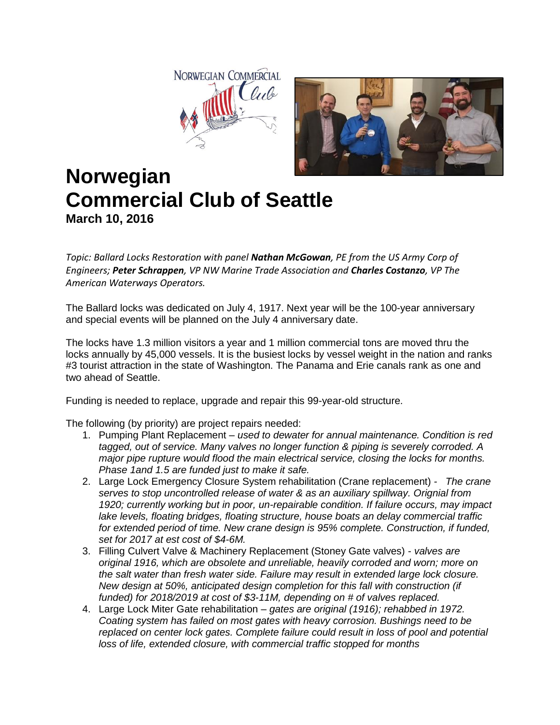



## **Norwegian Commercial Club of Seattle March 10, 2016**

*Topic: Ballard Locks Restoration with panel Nathan McGowan, PE from the US Army Corp of Engineers; Peter Schrappen, VP NW Marine Trade Association and Charles Costanzo, VP The American Waterways Operators.*

The Ballard locks was dedicated on July 4, 1917. Next year will be the 100-year anniversary and special events will be planned on the July 4 anniversary date.

The locks have 1.3 million visitors a year and 1 million commercial tons are moved thru the locks annually by 45,000 vessels. It is the busiest locks by vessel weight in the nation and ranks #3 tourist attraction in the state of Washington. The Panama and Erie canals rank as one and two ahead of Seattle.

Funding is needed to replace, upgrade and repair this 99-year-old structure.

The following (by priority) are project repairs needed:

- 1. Pumping Plant Replacement *used to dewater for annual maintenance. Condition is red tagged, out of service. Many valves no longer function & piping is severely corroded. A major pipe rupture would flood the main electrical service, closing the locks for months. Phase 1and 1.5 are funded just to make it safe.*
- 2. Large Lock Emergency Closure System rehabilitation (Crane replacement)  *The crane serves to stop uncontrolled release of water & as an auxiliary spillway. Orignial from 1920; currently working but in poor, un-repairable condition. If failure occurs, may impact lake levels, floating bridges, floating structure, house boats an delay commercial traffic for extended period of time. New crane design is 95% complete. Construction, if funded, set for 2017 at est cost of \$4-6M.*
- 3. Filling Culvert Valve & Machinery Replacement (Stoney Gate valves) *valves are original 1916, which are obsolete and unreliable, heavily corroded and worn; more on the salt water than fresh water side. Failure may result in extended large lock closure. New design at 50%, anticipated design completion for this fall with construction (if funded) for 2018/2019 at cost of \$3-11M, depending on # of valves replaced.*
- 4. Large Lock Miter Gate rehabilitation *gates are original (1916); rehabbed in 1972. Coating system has failed on most gates with heavy corrosion. Bushings need to be replaced on center lock gates. Complete failure could result in loss of pool and potential loss of life, extended closure, with commercial traffic stopped for months*